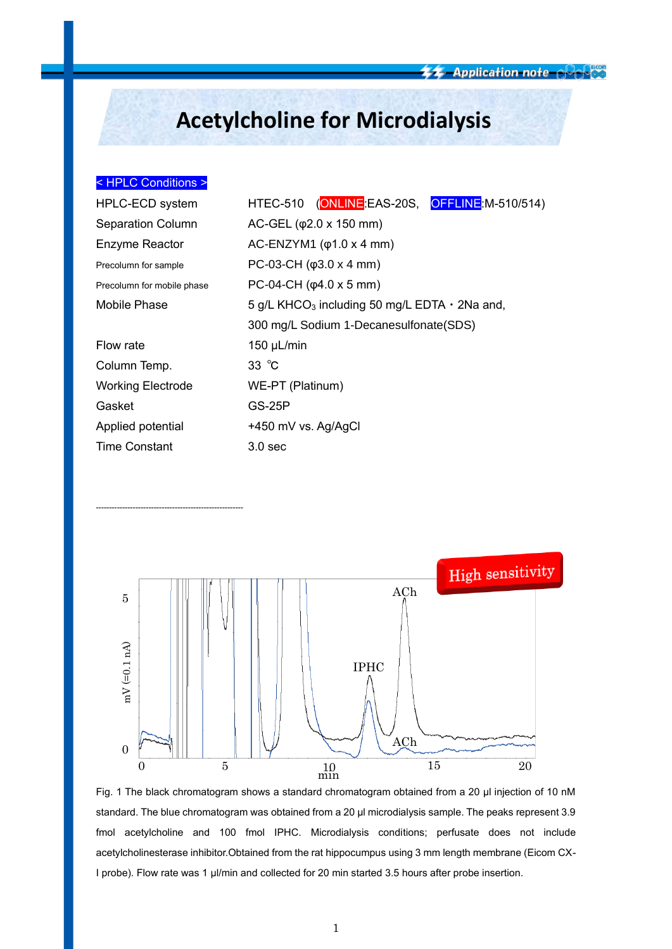# **Acetylcholine for Microdialysis**

## < HPLC Conditions >

--------------------------------------------------------

| HPLC-ECD system            | HTEC-510 (ONLINEE EAS-20S, OFFLINE M-510/514)                   |  |  |
|----------------------------|-----------------------------------------------------------------|--|--|
| <b>Separation Column</b>   | $AC-GEL (φ2.0 x 150 mm)$                                        |  |  |
| <b>Enzyme Reactor</b>      | AC-ENZYM1 $(\varphi1.0 \times 4 \text{ mm})$                    |  |  |
| Precolumn for sample       | PC-03-CH $(\phi$ 3.0 x 4 mm)                                    |  |  |
| Precolumn for mobile phase | PC-04-CH $(\phi$ 4.0 x 5 mm)                                    |  |  |
| Mobile Phase               | 5 g/L KHCO <sub>3</sub> including 50 mg/L EDTA $\cdot$ 2Na and, |  |  |
|                            | 300 mg/L Sodium 1-Decanesulfonate (SDS)                         |  |  |
| Flow rate                  | 150 $\mu$ L/min                                                 |  |  |
| Column Temp.               | $33^\circ \text{C}$                                             |  |  |
| <b>Working Electrode</b>   | WE-PT (Platinum)                                                |  |  |
| Gasket                     | GS-25P                                                          |  |  |
| Applied potential          | +450 mV vs. Ag/AgCl                                             |  |  |
| <b>Time Constant</b>       | 3.0 <sub>sec</sub>                                              |  |  |



Fig. 1 The black chromatogram shows a standard chromatogram obtained from a 20 µl injection of 10 nM standard. The blue chromatogram was obtained from a 20 µl microdialysis sample. The peaks represent 3.9 fmol acetylcholine and 100 fmol IPHC. Microdialysis conditions; perfusate does not include acetylcholinesterase inhibitor.Obtained from the rat hippocumpus using 3 mm length membrane (Eicom CX-I probe). Flow rate was 1 µl/min and collected for 20 min started 3.5 hours after probe insertion.